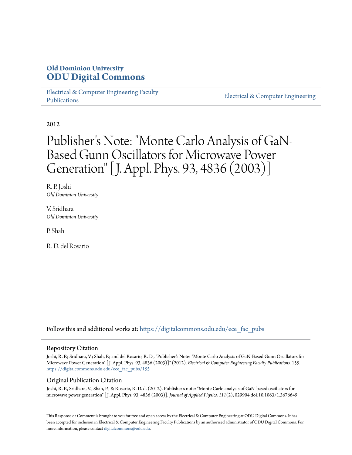## **Old Dominion University [ODU Digital Commons](https://digitalcommons.odu.edu?utm_source=digitalcommons.odu.edu%2Fece_fac_pubs%2F155&utm_medium=PDF&utm_campaign=PDFCoverPages)**

[Electrical & Computer Engineering Faculty](https://digitalcommons.odu.edu/ece_fac_pubs?utm_source=digitalcommons.odu.edu%2Fece_fac_pubs%2F155&utm_medium=PDF&utm_campaign=PDFCoverPages) [Publications](https://digitalcommons.odu.edu/ece_fac_pubs?utm_source=digitalcommons.odu.edu%2Fece_fac_pubs%2F155&utm_medium=PDF&utm_campaign=PDFCoverPages)

[Electrical & Computer Engineering](https://digitalcommons.odu.edu/ece?utm_source=digitalcommons.odu.edu%2Fece_fac_pubs%2F155&utm_medium=PDF&utm_campaign=PDFCoverPages)

2012

# Publisher 's Note: "Monte Carlo Analysis of GaN-Based Gunn Oscillators for Microwave Power Generation" [J. Appl. Phys. 93, 4836 (2003)]

R. P. Joshi *Old Dominion University*

V. Sridhara *Old Dominion University*

P. Shah

R. D. del Rosario

Follow this and additional works at: [https://digitalcommons.odu.edu/ece\\_fac\\_pubs](https://digitalcommons.odu.edu/ece_fac_pubs?utm_source=digitalcommons.odu.edu%2Fece_fac_pubs%2F155&utm_medium=PDF&utm_campaign=PDFCoverPages)

#### Repository Citation

Joshi, R. P.; Sridhara, V.; Shah, P.; and del Rosario, R. D., "Publisher's Note: "Monte Carlo Analysis of GaN-Based Gunn Oscillators for Microwave Power Generation" [J. Appl. Phys. 93, 4836 (2003)]" (2012). *Electrical & Computer Engineering Faculty Publications*. 155. [https://digitalcommons.odu.edu/ece\\_fac\\_pubs/155](https://digitalcommons.odu.edu/ece_fac_pubs/155?utm_source=digitalcommons.odu.edu%2Fece_fac_pubs%2F155&utm_medium=PDF&utm_campaign=PDFCoverPages)

### Original Publication Citation

Joshi, R. P., Sridhara, V., Shah, P., & Rosario, R. D. d. (2012). Publisher's note: "Monte Carlo analysis of GaN-based oscillators for microwave power generation" [J. Appl. Phys. 93, 4836 (2003)]. *Journal of Applied Physics, 111*(2), 029904 doi:10.1063/1.3676649

This Response or Comment is brought to you for free and open access by the Electrical & Computer Engineering at ODU Digital Commons. It has been accepted for inclusion in Electrical & Computer Engineering Faculty Publications by an authorized administrator of ODU Digital Commons. For more information, please contact [digitalcommons@odu.edu.](mailto:digitalcommons@odu.edu)